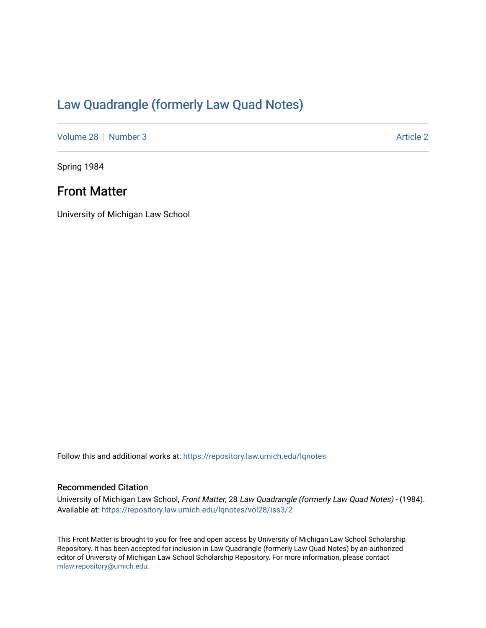# [Law Quadrangle \(formerly Law Quad Notes\)](https://repository.law.umich.edu/lqnotes)

[Volume 28](https://repository.law.umich.edu/lqnotes/vol28) [Number 3](https://repository.law.umich.edu/lqnotes/vol28/iss3) [Article 2](https://repository.law.umich.edu/lqnotes/vol28/iss3/2) Article 2

Spring 1984

## Front Matter

University of Michigan Law School

Follow this and additional works at: [https://repository.law.umich.edu/lqnotes](https://repository.law.umich.edu/lqnotes?utm_source=repository.law.umich.edu%2Flqnotes%2Fvol28%2Fiss3%2F2&utm_medium=PDF&utm_campaign=PDFCoverPages) 

#### Recommended Citation

University of Michigan Law School, Front Matter, 28 Law Quadrangle (formerly Law Quad Notes) - (1984). Available at: [https://repository.law.umich.edu/lqnotes/vol28/iss3/2](https://repository.law.umich.edu/lqnotes/vol28/iss3/2?utm_source=repository.law.umich.edu%2Flqnotes%2Fvol28%2Fiss3%2F2&utm_medium=PDF&utm_campaign=PDFCoverPages) 

This Front Matter is brought to you for free and open access by University of Michigan Law School Scholarship Repository. It has been accepted for inclusion in Law Quadrangle (formerly Law Quad Notes) by an authorized editor of University of Michigan Law School Scholarship Repository. For more information, please contact [mlaw.repository@umich.edu.](mailto:mlaw.repository@umich.edu)